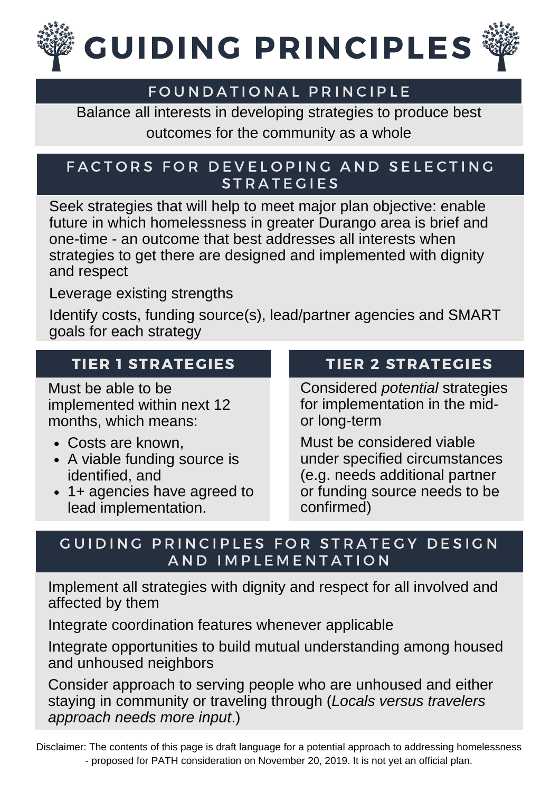

## FOUNDATIONAL PRINCIPLE

Balance all interests in developing strategies to produce best outcomes for the community as a whole

#### FACTORS FOR DEVELOPING AND SELECTING **STRATEGIES**

Seek strategies that will help to meet major plan objective: enable future in which homelessness in greater Durango area is brief and one-time - an outcome that best addresses all interests when strategies to get there are designed and implemented with dignity and respect

Leverage existing strengths

Identify costs, funding source(s), lead/partner agencies and SMART goals for each strategy

# TIER 1 STRATEGIES

Must be able to be implemented within next 12 months, which means:

- Costs are known,
- A viable funding source is identified, and
- 1+ agencies have agreed to lead implementation.

# TIER 2 STRATEGIES

Considered *potential* strategies for implementation in the midor long-term

Must be considered viable under specified circumstances (e.g. needs additional partner or funding source needs to be confirmed)

#### GUIDING PRINCIPLES FOR STRATEGY DESIGN A N D I M P L E M E N T A T I O N

Implement all strategies with dignity and respect for all involved and affected by them

Integrate coordination features whenever applicable

Integrate opportunities to build mutual understanding among housed and unhoused neighbors

Consider approach to serving people who are unhoused and either staying in community or traveling through (*Locals versus travelers approach needs more input*.)

Disclaimer: The contents of this page is draft language for a potential approach to addressing homelessness - proposed for PATH consideration on November 20, 2019. It is not yet an official plan.